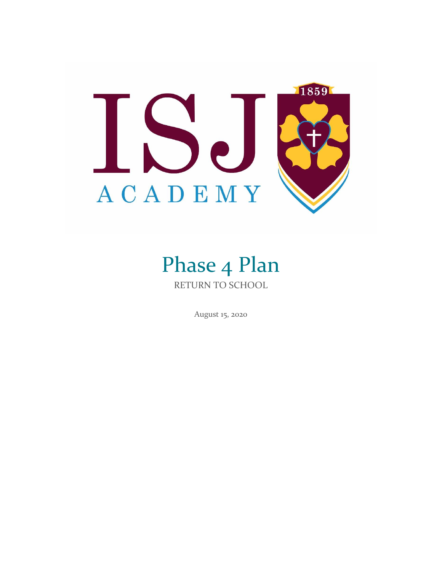

# Phase 4 Plan RETURN TO SCHOOL

August 15, 2020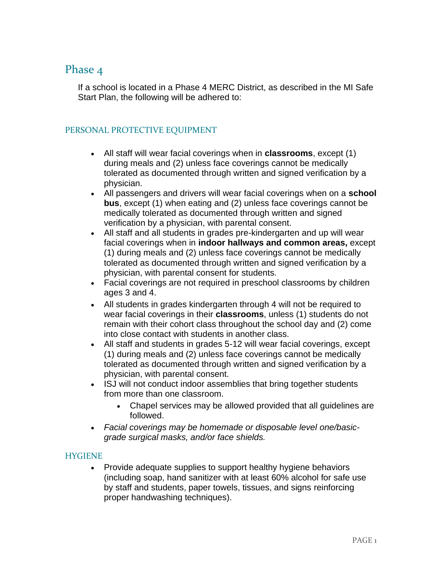# Phase 4

If a school is located in a Phase 4 MERC District, as described in the MI Safe Start Plan, the following will be adhered to:

## PERSONAL PROTECTIVE EQUIPMENT

- All staff will wear facial coverings when in **classrooms**, except (1) during meals and (2) unless face coverings cannot be medically tolerated as documented through written and signed verification by a physician.
- All passengers and drivers will wear facial coverings when on a **school bus**, except (1) when eating and (2) unless face coverings cannot be medically tolerated as documented through written and signed verification by a physician, with parental consent.
- All staff and all students in grades pre-kindergarten and up will wear facial coverings when in **indoor hallways and common areas,** except (1) during meals and (2) unless face coverings cannot be medically tolerated as documented through written and signed verification by a physician, with parental consent for students.
- Facial coverings are not required in preschool classrooms by children ages 3 and 4.
- All students in grades kindergarten through 4 will not be required to wear facial coverings in their **classrooms**, unless (1) students do not remain with their cohort class throughout the school day and (2) come into close contact with students in another class.
- All staff and students in grades 5-12 will wear facial coverings, except (1) during meals and (2) unless face coverings cannot be medically tolerated as documented through written and signed verification by a physician, with parental consent.
- ISJ will not conduct indoor assemblies that bring together students from more than one classroom.
	- Chapel services may be allowed provided that all guidelines are followed.
- *Facial coverings may be homemade or disposable level one/basicgrade surgical masks, and/or face shields.*

#### **HYGIENE**

• Provide adequate supplies to support healthy hygiene behaviors (including soap, hand sanitizer with at least 60% alcohol for safe use by staff and students, paper towels, tissues, and signs reinforcing proper handwashing techniques).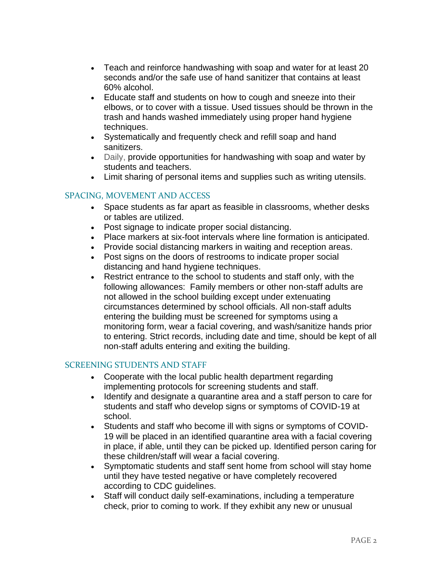- Teach and reinforce handwashing with soap and water for at least 20 seconds and/or the safe use of hand sanitizer that contains at least 60% alcohol.
- Educate staff and students on how to cough and sneeze into their elbows, or to cover with a tissue. Used tissues should be thrown in the trash and hands washed immediately using proper hand hygiene techniques.
- Systematically and frequently check and refill soap and hand sanitizers.
- Daily, provide opportunities for handwashing with soap and water by students and teachers.
- Limit sharing of personal items and supplies such as writing utensils.

## SPACING, MOVEMENT AND ACCESS

- Space students as far apart as feasible in classrooms, whether desks or tables are utilized.
- Post signage to indicate proper social distancing.
- Place markers at six-foot intervals where line formation is anticipated.
- Provide social distancing markers in waiting and reception areas.
- Post signs on the doors of restrooms to indicate proper social distancing and hand hygiene techniques.
- Restrict entrance to the school to students and staff only, with the following allowances: Family members or other non-staff adults are not allowed in the school building except under extenuating circumstances determined by school officials. All non-staff adults entering the building must be screened for symptoms using a monitoring form, wear a facial covering, and wash/sanitize hands prior to entering. Strict records, including date and time, should be kept of all non-staff adults entering and exiting the building.

#### SCREENING STUDENTS AND STAFF

- Cooperate with the local public health department regarding implementing protocols for screening students and staff.
- Identify and designate a quarantine area and a staff person to care for students and staff who develop signs or symptoms of COVID-19 at school.
- Students and staff who become ill with signs or symptoms of COVID-19 will be placed in an identified quarantine area with a facial covering in place, if able, until they can be picked up. Identified person caring for these children/staff will wear a facial covering.
- Symptomatic students and staff sent home from school will stay home until they have tested negative or have completely recovered according to CDC guidelines.
- Staff will conduct daily self-examinations, including a temperature check, prior to coming to work. If they exhibit any new or unusual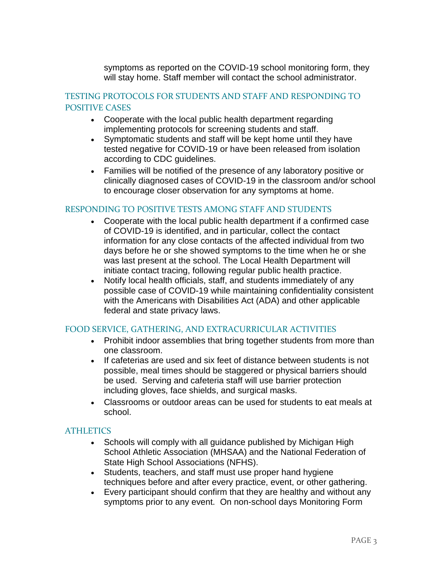symptoms as reported on the COVID-19 school monitoring form, they will stay home. Staff member will contact the school administrator.

## TESTING PROTOCOLS FOR STUDENTS AND STAFF AND RESPONDING TO POSITIVE CASES

- Cooperate with the local public health department regarding implementing protocols for screening students and staff.
- Symptomatic students and staff will be kept home until they have tested negative for COVID-19 or have been released from isolation according to CDC guidelines.
- Families will be notified of the presence of any laboratory positive or clinically diagnosed cases of COVID-19 in the classroom and/or school to encourage closer observation for any symptoms at home.

## RESPONDING TO POSITIVE TESTS AMONG STAFF AND STUDENTS

- Cooperate with the local public health department if a confirmed case of COVID-19 is identified, and in particular, collect the contact information for any close contacts of the affected individual from two days before he or she showed symptoms to the time when he or she was last present at the school. The Local Health Department will initiate contact tracing, following regular public health practice.
- Notify local health officials, staff, and students immediately of any possible case of COVID-19 while maintaining confidentiality consistent with the Americans with Disabilities Act (ADA) and other applicable federal and state privacy laws.

## FOOD SERVICE, GATHERING, AND EXTRACURRICULAR ACTIVITIES

- Prohibit indoor assemblies that bring together students from more than one classroom.
- If cafeterias are used and six feet of distance between students is not possible, meal times should be staggered or physical barriers should be used. Serving and cafeteria staff will use barrier protection including gloves, face shields, and surgical masks.
- Classrooms or outdoor areas can be used for students to eat meals at school.

#### **ATHLETICS**

- Schools will comply with all guidance published by Michigan High School Athletic Association (MHSAA) and the National Federation of State High School Associations (NFHS).
- Students, teachers, and staff must use proper hand hygiene techniques before and after every practice, event, or other gathering.
- Every participant should confirm that they are healthy and without any symptoms prior to any event. On non-school days Monitoring Form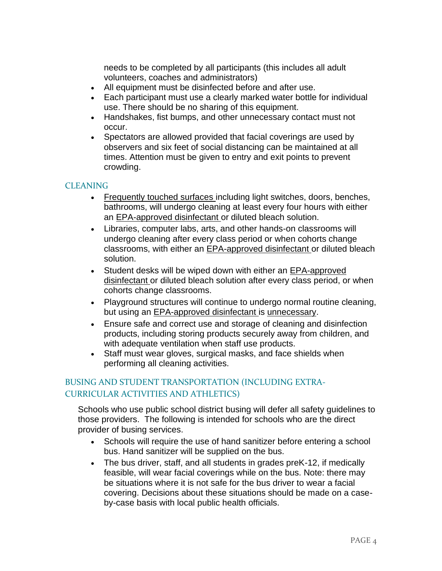needs to be completed by all participants (this includes all adult volunteers, coaches and administrators)

- All equipment must be disinfected before and after use.
- Each participant must use a clearly marked water bottle for individual use. There should be no sharing of this equipment.
- Handshakes, fist bumps, and other unnecessary contact must not occur.
- Spectators are allowed provided that facial coverings are used by observers and six feet of social distancing can be maintained at all times. Attention must be given to entry and exit points to prevent crowding.

## **CLEANING**

- Frequently touched surfaces including light switches, doors, benches, bathrooms, will undergo cleaning at least every four hours with either an EPA-approved disinfectant or diluted bleach solution.
- Libraries, computer labs, arts, and other hands-on classrooms will undergo cleaning after every class period or when cohorts change classrooms, with either an EPA-approved disinfectant or diluted bleach solution.
- Student desks will be wiped down with either an EPA-approved disinfectant or diluted bleach solution after every class period, or when cohorts change classrooms.
- Playground structures will continue to undergo normal routine cleaning, but using an EPA-approved disinfectant is unnecessary.
- Ensure safe and correct use and storage of cleaning and disinfection products, including storing products securely away from children, and with adequate ventilation when staff use products.
- Staff must wear gloves, surgical masks, and face shields when performing all cleaning activities.

## BUSING AND STUDENT TRANSPORTATION (INCLUDING EXTRA-CURRICULAR ACTIVITIES AND ATHLETICS)

Schools who use public school district busing will defer all safety guidelines to those providers. The following is intended for schools who are the direct provider of busing services.

- Schools will require the use of hand sanitizer before entering a school bus. Hand sanitizer will be supplied on the bus.
- The bus driver, staff, and all students in grades preK-12, if medically feasible, will wear facial coverings while on the bus. Note: there may be situations where it is not safe for the bus driver to wear a facial covering. Decisions about these situations should be made on a caseby-case basis with local public health officials.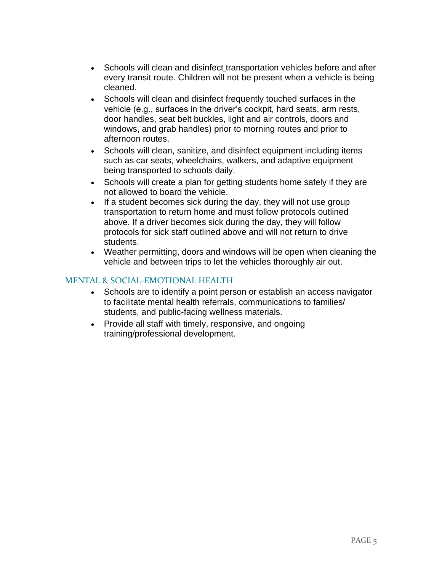- Schools will clean and disinfect transportation vehicles before and after every transit route. Children will not be present when a vehicle is being cleaned.
- Schools will clean and disinfect frequently touched surfaces in the vehicle (e.g., surfaces in the driver's cockpit, hard seats, arm rests, door handles, seat belt buckles, light and air controls, doors and windows, and grab handles) prior to morning routes and prior to afternoon routes.
- Schools will clean, sanitize, and disinfect equipment including items such as car seats, wheelchairs, walkers, and adaptive equipment being transported to schools daily.
- Schools will create a plan for getting students home safely if they are not allowed to board the vehicle.
- If a student becomes sick during the day, they will not use group transportation to return home and must follow protocols outlined above. If a driver becomes sick during the day, they will follow protocols for sick staff outlined above and will not return to drive students.
- Weather permitting, doors and windows will be open when cleaning the vehicle and between trips to let the vehicles thoroughly air out.

## MENTAL & SOCIAL-EMOTIONAL HEALTH

- Schools are to identify a point person or establish an access navigator to facilitate mental health referrals, communications to families/ students, and public-facing wellness materials.
- Provide all staff with timely, responsive, and ongoing training/professional development.